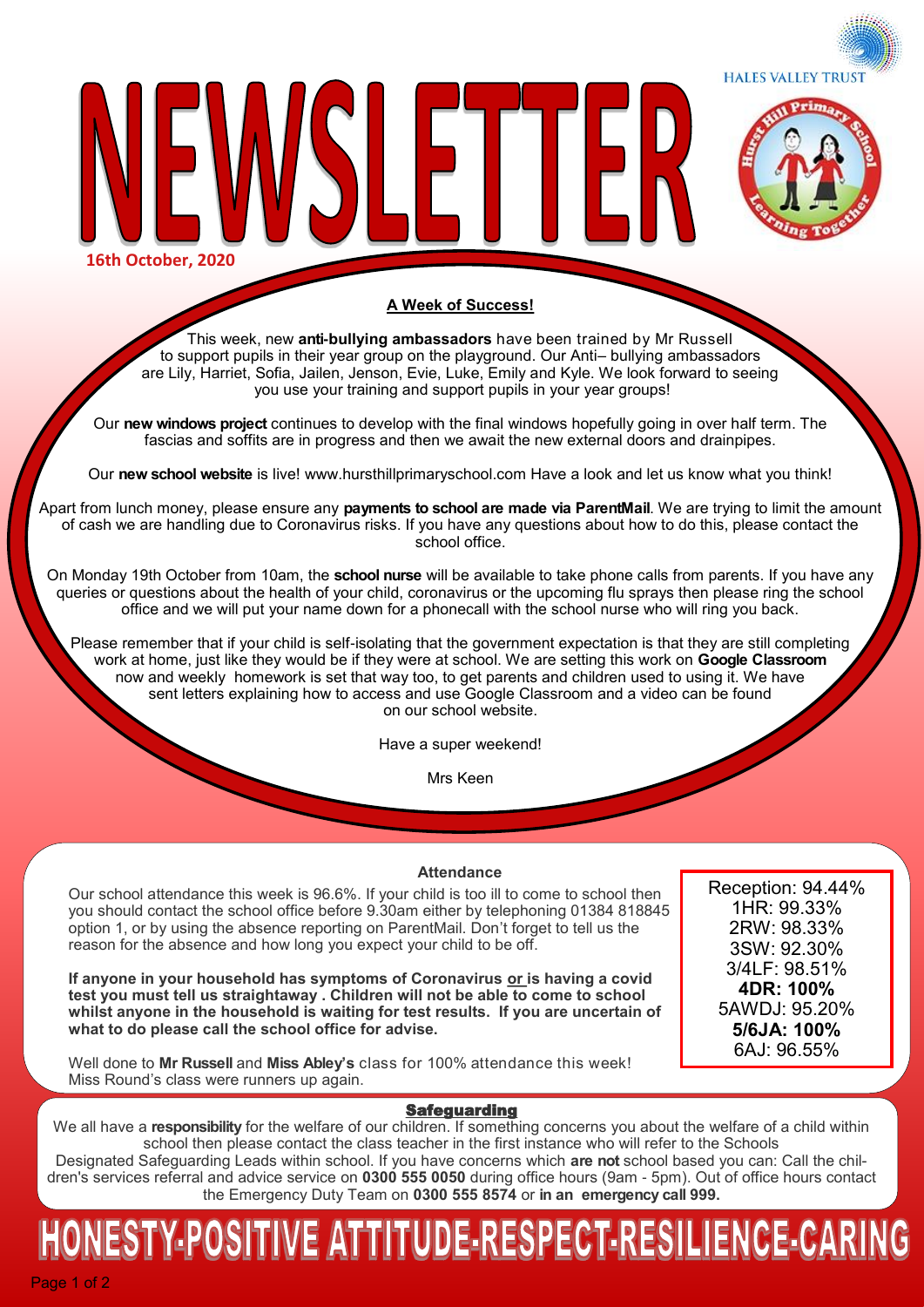



**16th October, 2020**

## **A Week of Success!**

This week, new **anti-bullying ambassadors** have been trained by Mr Russell to support pupils in their year group on the playground. Our Anti– bullying ambassadors are Lily, Harriet, Sofia, Jailen, Jenson, Evie, Luke, Emily and Kyle. We look forward to seeing you use your training and support pupils in your year groups!

Our **new windows project** continues to develop with the final windows hopefully going in over half term. The fascias and soffits are in progress and then we await the new external doors and drainpipes.

Our **new school website** is live! www.hursthillprimaryschool.com Have a look and let us know what you think!

Apart from lunch money, please ensure any **payments to school are made via ParentMail**. We are trying to limit the amount of cash we are handling due to Coronavirus risks. If you have any questions about how to do this, please contact the school office.

On Monday 19th October from 10am, the **school nurse** will be available to take phone calls from parents. If you have any queries or questions about the health of your child, coronavirus or the upcoming flu sprays then please ring the school office and we will put your name down for a phonecall with the school nurse who will ring you back.

Please remember that if your child is self-isolating that the government expectation is that they are still completing work at home, just like they would be if they were at school. We are setting this work on **Google Classroom**  now and weekly homework is set that way too, to get parents and children used to using it. We have sent letters explaining how to access and use Google Classroom and a video can be found on our school website.

Have a super weekend!

Mrs Keen

## **Attendance**

Our school attendance this week is 96.6%. If your child is too ill to come to school then you should contact the school office before 9.30am either by telephoning 01384 818845 option 1, or by using the absence reporting on ParentMail. Don't forget to tell us the reason for the absence and how long you expect your child to be off.

**If anyone in your household has symptoms of Coronavirus or is having a covid test you must tell us straightaway . Children will not be able to come to school whilst anyone in the household is waiting for test results. If you are uncertain of what to do please call the school office for advise.**

Reception: 94.44% 1HR: 99.33% 2RW: 98.33% 3SW: 92.30% 3/4LF: 98.51% **4DR: 100%** 5AWDJ: 95.20% **5/6JA: 100%** 6AJ: 96.55%

Well done to **Mr Russell** and **Miss Abley's** class for 100% attendance this week! Miss Round's class were runners up again.

**Safeguarding** 

We all have a **responsibility** for the welfare of our children. If something concerns you about the welfare of a child within school then please contact the class teacher in the first instance who will refer to the Schools Designated Safeguarding Leads within school. If you have concerns which **are not** school based you can: Call the children's services referral and advice service on **0300 555 0050** during office hours (9am - 5pm). Out of office hours contact the Emergency Duty Team on **0300 555 8574** or **in an emergency call 999.** 

# NESTY-POSITIVE ATTITUDE-RESPECT-RESILIENCE-CARIN

Page 1 of 2